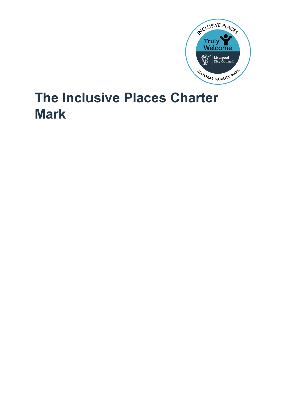

# **The Inclusive Places Charter Mark**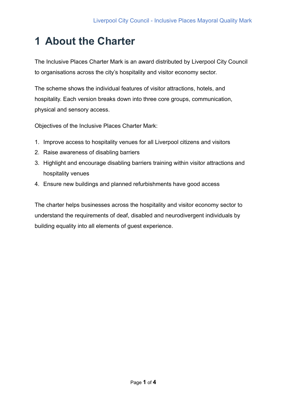## **1 About the Charter**

The Inclusive Places Charter Mark is an award distributed by Liverpool City Council to organisations across the city's hospitality and visitor economy sector.

The scheme shows the individual features of visitor attractions, hotels, and hospitality. Each version breaks down into three core groups, communication, physical and sensory access.

Objectives of the Inclusive Places Charter Mark:

- 1. Improve access to hospitality venues for all Liverpool citizens and visitors
- 2. Raise awareness of disabling barriers
- 3. Highlight and encourage disabling barriers training within visitor attractions and hospitality venues
- 4. Ensure new buildings and planned refurbishments have good access

The charter helps businesses across the hospitality and visitor economy sector to understand the requirements of deaf, disabled and neurodivergent individuals by building equality into all elements of guest experience.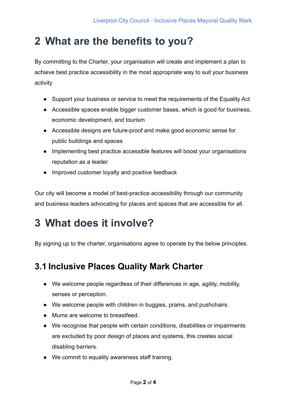#### **2 What are the benefits to you?**

By committing to the Charter, your organisation will create and implement a plan to achieve best practice accessibility in the most appropriate way to suit your business activity

- Support your business or service to meet the requirements of the Equality Act
- Accessible spaces enable bigger customer bases, which is good for business, economic development, and tourism
- Accessible designs are future-proof and make good economic sense for public buildings and spaces
- Implementing best practice accessible features will boost your organisations reputation as a leader
- Improved customer loyalty and positive feedback

Our city will become a model of best-practice accessibility through our community and business leaders advocating for places and spaces that are accessible for all.

### **3 What does it involve?**

By signing up to the charter, organisations agree to operate by the below principles.

#### **3.1 Inclusive Places Quality Mark Charter**

- We welcome people regardless of their differences in age, agility, mobility, senses or perception.
- We welcome people with children in buggies, prams, and pushchairs.
- Mums are welcome to breastfeed.
- We recognise that people with certain conditions, disabilities or impairments are excluded by poor design of places and systems, this creates social disabling barriers.
- We commit to equality awareness staff training.